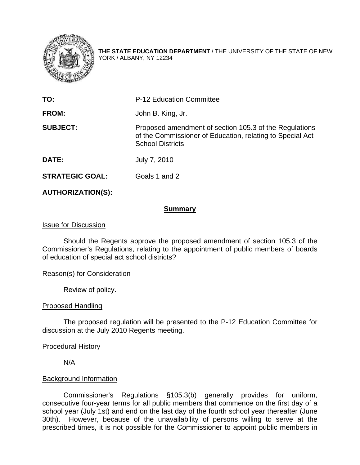

**THE STATE EDUCATION DEPARTMENT** / THE UNIVERSITY OF THE STATE OF NEW YORK / ALBANY, NY 12234

| TO:                    | <b>P-12 Education Committee</b>                                                                                                                |
|------------------------|------------------------------------------------------------------------------------------------------------------------------------------------|
| <b>FROM:</b>           | John B. King, Jr.                                                                                                                              |
| <b>SUBJECT:</b>        | Proposed amendment of section 105.3 of the Regulations<br>of the Commissioner of Education, relating to Special Act<br><b>School Districts</b> |
| <b>DATE:</b>           | July 7, 2010                                                                                                                                   |
| <b>STRATEGIC GOAL:</b> | Goals 1 and 2                                                                                                                                  |

# **AUTHORIZATION(S):**

## **Summary**

#### Issue for Discussion

 Should the Regents approve the proposed amendment of section 105.3 of the Commissioner's Regulations, relating to the appointment of public members of boards of education of special act school districts?

## Reason(s) for Consideration

Review of policy.

## Proposed Handling

 The proposed regulation will be presented to the P-12 Education Committee for discussion at the July 2010 Regents meeting.

## Procedural History

N/A

## Background Information

Commissioner's Regulations §105.3(b) generally provides for uniform, consecutive four-year terms for all public members that commence on the first day of a school year (July 1st) and end on the last day of the fourth school year thereafter (June 30th). However, because of the unavailability of persons willing to serve at the prescribed times, it is not possible for the Commissioner to appoint public members in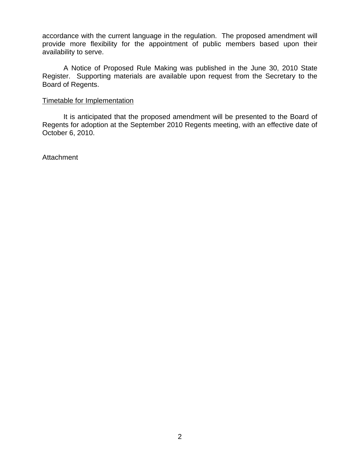accordance with the current language in the regulation. The proposed amendment will provide more flexibility for the appointment of public members based upon their availability to serve.

A Notice of Proposed Rule Making was published in the June 30, 2010 State Register. Supporting materials are available upon request from the Secretary to the Board of Regents.

#### Timetable for Implementation

 It is anticipated that the proposed amendment will be presented to the Board of Regents for adoption at the September 2010 Regents meeting, with an effective date of October 6, 2010.

**Attachment**